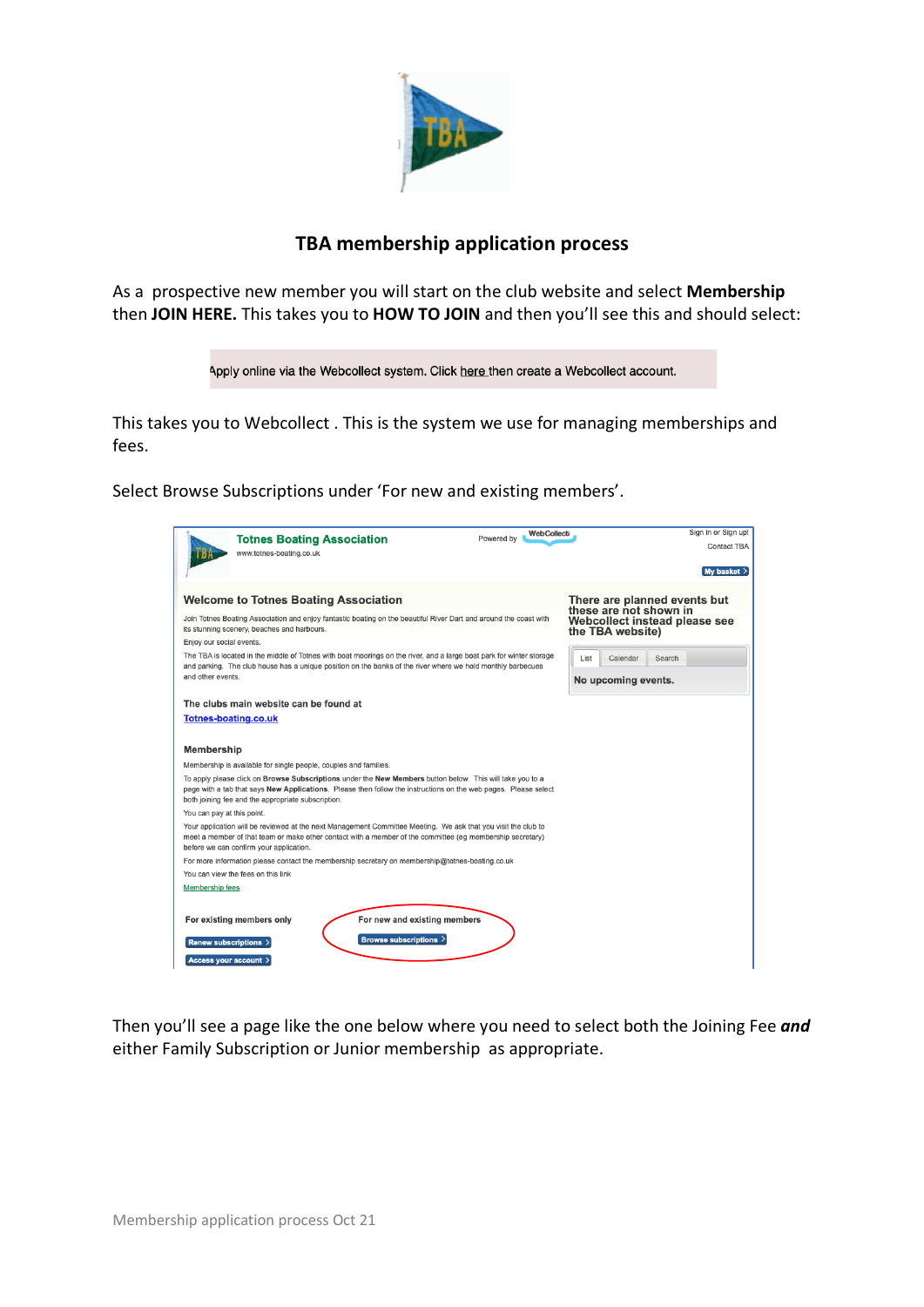

## **TBA membership application process**

As a prospective new member you will start on the club website and select **Membership** then **JOIN HERE.** This takes you to **HOW TO JOIN** and then you'll see this and should select:



This takes you to Webcollect . This is the system we use for managing memberships and fees.

Select Browse Subscriptions under 'For new and existing members'.

|                             | <b>Totnes Boating Association</b><br>www.totnes-boating.co.uk                                                                                                                                                                                                                      | <b>WebCollect</b><br>Powered by | Sign in or Sign up!<br>Contact TBA                     |
|-----------------------------|------------------------------------------------------------------------------------------------------------------------------------------------------------------------------------------------------------------------------------------------------------------------------------|---------------------------------|--------------------------------------------------------|
|                             |                                                                                                                                                                                                                                                                                    |                                 | My basket >                                            |
|                             | <b>Welcome to Totnes Boating Association</b>                                                                                                                                                                                                                                       |                                 | There are planned events but<br>these are not shown in |
|                             | Join Totnes Boating Association and enjoy fantastic boating on the beautiful River Dart and around the coast with<br>its stunning scenery, beaches and harbours.                                                                                                                   |                                 | Webcollect instead please see<br>the TBA website)      |
| Enjoy our social events.    |                                                                                                                                                                                                                                                                                    |                                 |                                                        |
| and other events.           | The TBA is located in the middle of Totnes with boat moorings on the river, and a large boat park for winter storage<br>and parking. The club house has a unique position on the banks of the river where we hold monthly barbecues                                                |                                 | List<br>Calendar<br>Search<br>No upcoming events.      |
|                             | The clubs main website can be found at                                                                                                                                                                                                                                             |                                 |                                                        |
| <b>Totnes-boating.co.uk</b> |                                                                                                                                                                                                                                                                                    |                                 |                                                        |
|                             |                                                                                                                                                                                                                                                                                    |                                 |                                                        |
| <b>Membership</b>           |                                                                                                                                                                                                                                                                                    |                                 |                                                        |
|                             | Membership is available for single people, couples and families.                                                                                                                                                                                                                   |                                 |                                                        |
|                             | To apply please click on Browse Subscriptions under the New Members button below. This will take you to a<br>page with a tab that says New Applications. Please then follow the instructions on the web pages. Please select<br>both joining fee and the appropriate subscription. |                                 |                                                        |
| You can pay at this point.  |                                                                                                                                                                                                                                                                                    |                                 |                                                        |
|                             | Your application will be reviewed at the next Management Committee Meeting. We ask that you visit the club to<br>meet a member of that team or make other contact with a member of the committee (eg membership secretary)<br>before we can confirm your application.              |                                 |                                                        |
|                             | For more information please contact the membership secretary on membership@totnes-boating.co.uk                                                                                                                                                                                    |                                 |                                                        |
|                             | You can view the fees on this link                                                                                                                                                                                                                                                 |                                 |                                                        |
| <b>Membership fees</b>      |                                                                                                                                                                                                                                                                                    |                                 |                                                        |
| Renew subscriptions >       | For new and existing members<br>For existing members only<br>Browse subscriptions >                                                                                                                                                                                                |                                 |                                                        |
| Access your account >       |                                                                                                                                                                                                                                                                                    |                                 |                                                        |

Then you'll see a page like the one below where you need to select both the Joining Fee *and*  either Family Subscription or Junior membership as appropriate.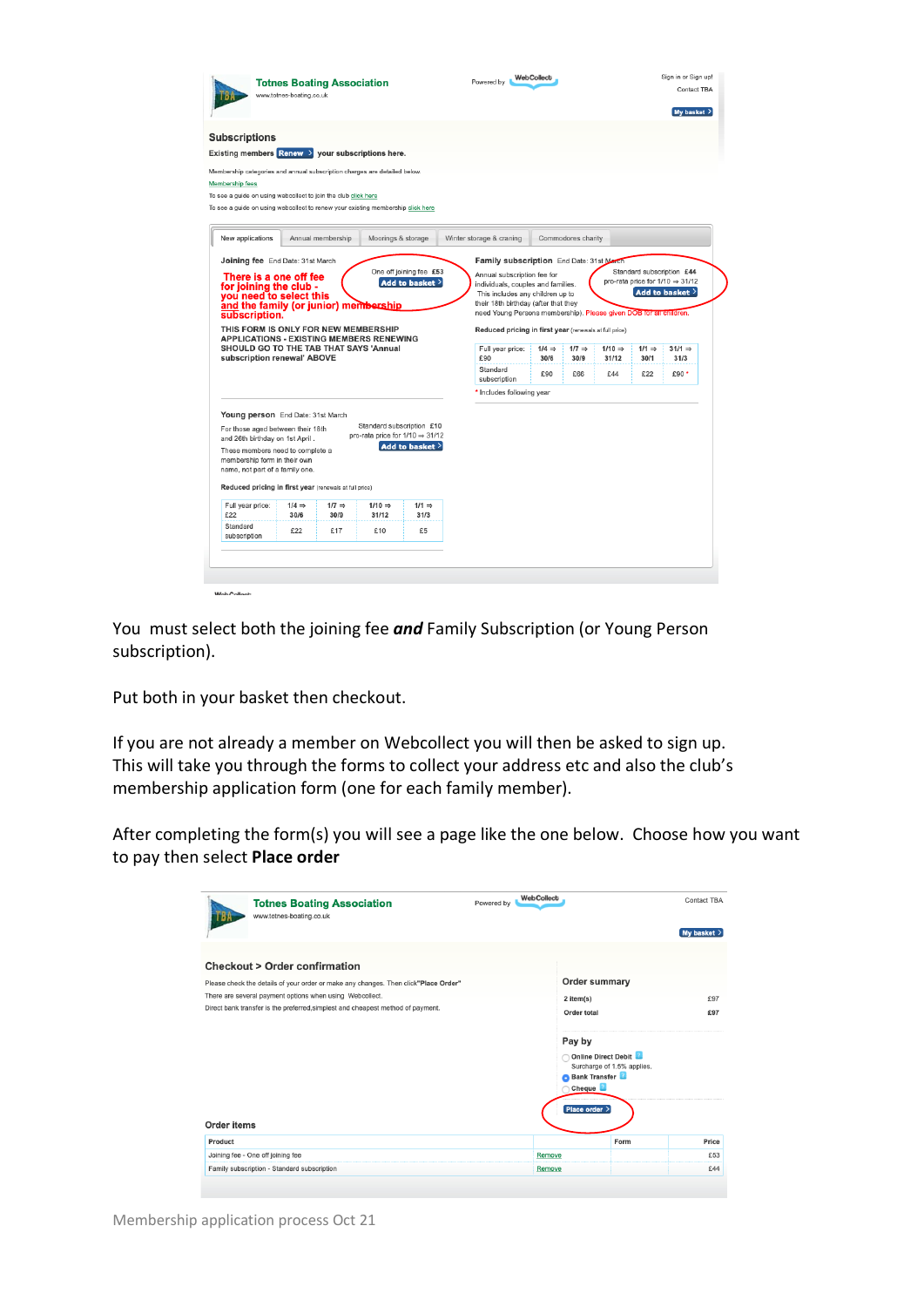|                                                                                                                                                                                                                                                                                        | <b>Totnes Boating Association</b><br>www.totnes-boating.co.uk                                                                                                                                                                                                                                     |                           |                                                                                                                                                                                                                                                                 |                                  | Powered by                       | <b>WebCollect</b>                  |                                  |                                                          |  | Sign in or Sign up!<br>Contact TBA<br>My basket $\left.\right>$ |
|----------------------------------------------------------------------------------------------------------------------------------------------------------------------------------------------------------------------------------------------------------------------------------------|---------------------------------------------------------------------------------------------------------------------------------------------------------------------------------------------------------------------------------------------------------------------------------------------------|---------------------------|-----------------------------------------------------------------------------------------------------------------------------------------------------------------------------------------------------------------------------------------------------------------|----------------------------------|----------------------------------|------------------------------------|----------------------------------|----------------------------------------------------------|--|-----------------------------------------------------------------|
| <b>Subscriptions</b><br>Membership fees                                                                                                                                                                                                                                                | Existing members $\frac{1}{2}$ Renew > your subscriptions here.<br>Membership categories and annual subscription charges are detailed below.<br>To see a guide on using webcollect to join the club click here<br>To see a guide on using webcollect to renew your existing membership click here |                           |                                                                                                                                                                                                                                                                 |                                  |                                  |                                    |                                  |                                                          |  |                                                                 |
| New applications                                                                                                                                                                                                                                                                       |                                                                                                                                                                                                                                                                                                   | Annual membership         | Moorings & storage                                                                                                                                                                                                                                              |                                  | Winter storage & craning         |                                    | Commodores charity               |                                                          |  |                                                                 |
| for joining the club -<br>you need to select this<br>and the family (or junior) membership<br>subscription.<br>THIS FORM IS ONLY FOR NEW MEMBERSHIP<br><b>APPLICATIONS - EXISTING MEMBERS RENEWING</b><br><b>SHOULD GO TO THE TAB THAT SAYS 'Annual</b><br>subscription renewal' ABOVE |                                                                                                                                                                                                                                                                                                   |                           | This includes any children up to<br>their 18th birthday (after that they<br>need Young Persons membership). Please given DOB for all children.<br>Reduced pricing in first year (renewals at full price)<br>Full year price:<br>£90<br>Standard<br>subscription | $1/4 \Rightarrow$<br>30/6<br>£90 | $1/7 \Rightarrow$<br>30/9<br>£66 | $1/10 \Rightarrow$<br>31/12<br>£44 | $1/1 \Rightarrow$<br>30/1<br>£22 | Add to basket $>$<br>$31/1 \Rightarrow$<br>31/3<br>£90 * |  |                                                                 |
|                                                                                                                                                                                                                                                                                        |                                                                                                                                                                                                                                                                                                   |                           |                                                                                                                                                                                                                                                                 |                                  | * Includes following year        |                                    |                                  |                                                          |  |                                                                 |
|                                                                                                                                                                                                                                                                                        | Young person End Date: 31st March<br>For those aged between their 18th                                                                                                                                                                                                                            |                           | Standard subscription £10<br>pro-rata price for 1/10 ⇒ 31/12                                                                                                                                                                                                    | Add to basket >                  |                                  |                                    |                                  |                                                          |  |                                                                 |
| and 26th birthday on 1st April.                                                                                                                                                                                                                                                        | These members need to complete a<br>membership form in their own<br>name, not part of a family one.<br>Reduced pricing in first year (renewals at full price)                                                                                                                                     |                           |                                                                                                                                                                                                                                                                 |                                  |                                  |                                    |                                  |                                                          |  |                                                                 |
| Full year price:<br>£22                                                                                                                                                                                                                                                                | $1/4 \Rightarrow$<br>30/6                                                                                                                                                                                                                                                                         | $1/7 \Rightarrow$<br>30/9 | $1/10 \Rightarrow$<br>31/12                                                                                                                                                                                                                                     | $1/1 \Rightarrow$<br>31/3        |                                  |                                    |                                  |                                                          |  |                                                                 |

You must select both the joining fee *and* Family Subscription (or Young Person subscription).

Put both in your basket then checkout.

If you are not already a member on Webcollect you will then be asked to sign up. This will take you through the forms to collect your address etc and also the club's membership application form (one for each family member).

After completing the form(s) you will see a page like the one below. Choose how you want to pay then select **Place order**

| www.totnes-boating.co.uk                                 | <b>Totnes Boating Association</b>                                                   | <b>WebCollect</b><br>Powered by |                                                                        |                                                   | Contact TBA   |
|----------------------------------------------------------|-------------------------------------------------------------------------------------|---------------------------------|------------------------------------------------------------------------|---------------------------------------------------|---------------|
|                                                          |                                                                                     |                                 |                                                                        |                                                   | My basket $>$ |
| <b>Checkout &gt; Order confirmation</b>                  |                                                                                     |                                 |                                                                        |                                                   |               |
|                                                          | Please check the details of your order or make any changes. Then click"Place Order" |                                 | Order summary                                                          |                                                   |               |
| There are several payment options when using Webcollect. |                                                                                     |                                 | 2 item(s)                                                              |                                                   | £97           |
|                                                          | Direct bank transfer is the preferred, simplest and cheapest method of payment.     |                                 | Order total                                                            |                                                   | £97           |
| Order items                                              |                                                                                     |                                 | Pay by<br><b>Bank Transfer</b><br>Cheque <sup>2</sup><br>Place order > | Online Direct Debit<br>Surcharge of 1.5% applies. |               |
| Product                                                  |                                                                                     |                                 |                                                                        | Form                                              | Price         |
| Joining fee - One off joining fee                        |                                                                                     |                                 | Remove                                                                 |                                                   | £53           |
| Family subscription - Standard subscription              |                                                                                     |                                 | Remove                                                                 |                                                   | £44           |